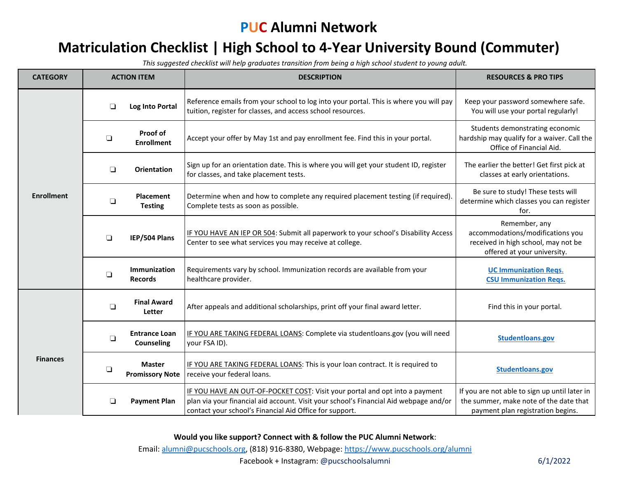## **PUC Alumni Network**

## **Matriculation Checklist | High School to 4-Year University Bound (Commuter)**

*This suggested checklist will help graduates transition from being a high school student to young adult.* 

| <b>CATEGORY</b>   | <b>ACTION ITEM</b> |                                         | <b>DESCRIPTION</b>                                                                                                                                                                                                              | <b>RESOURCES &amp; PRO TIPS</b>                                                                                              |
|-------------------|--------------------|-----------------------------------------|---------------------------------------------------------------------------------------------------------------------------------------------------------------------------------------------------------------------------------|------------------------------------------------------------------------------------------------------------------------------|
| <b>Enrollment</b> | ❏                  | Log Into Portal                         | Reference emails from your school to log into your portal. This is where you will pay<br>tuition, register for classes, and access school resources.                                                                            | Keep your password somewhere safe.<br>You will use your portal regularly!                                                    |
|                   | $\Box$             | Proof of<br><b>Enrollment</b>           | Accept your offer by May 1st and pay enrollment fee. Find this in your portal.                                                                                                                                                  | Students demonstrating economic<br>hardship may qualify for a waiver. Call the<br>Office of Financial Aid.                   |
|                   | $\Box$             | <b>Orientation</b>                      | Sign up for an orientation date. This is where you will get your student ID, register<br>for classes, and take placement tests.                                                                                                 | The earlier the better! Get first pick at<br>classes at early orientations.                                                  |
|                   | ❏                  | <b>Placement</b><br><b>Testing</b>      | Determine when and how to complete any required placement testing (if required).<br>Complete tests as soon as possible.                                                                                                         | Be sure to study! These tests will<br>determine which classes you can register<br>for.                                       |
|                   | $\Box$             | IEP/504 Plans                           | IF YOU HAVE AN IEP OR 504: Submit all paperwork to your school's Disability Access<br>Center to see what services you may receive at college.                                                                                   | Remember, any<br>accommodations/modifications you<br>received in high school, may not be<br>offered at your university.      |
|                   | $\Box$             | Immunization<br><b>Records</b>          | Requirements vary by school. Immunization records are available from your<br>healthcare provider.                                                                                                                               | <b>UC Immunization Regs.</b><br><b>CSU Immunization Regs.</b>                                                                |
| <b>Finances</b>   | $\Box$             | <b>Final Award</b><br><b>Letter</b>     | After appeals and additional scholarships, print off your final award letter.                                                                                                                                                   | Find this in your portal.                                                                                                    |
|                   | ❏                  | <b>Entrance Loan</b><br>Counseling      | IF YOU ARE TAKING FEDERAL LOANS: Complete via studentloans.gov (you will need<br>your FSA ID).                                                                                                                                  | Studentloans.gov                                                                                                             |
|                   | $\Box$             | <b>Master</b><br><b>Promissory Note</b> | IF YOU ARE TAKING FEDERAL LOANS: This is your loan contract. It is required to<br>receive your federal loans.                                                                                                                   | Studentloans.gov                                                                                                             |
|                   | ❏                  | <b>Payment Plan</b>                     | IF YOU HAVE AN OUT-OF-POCKET COST: Visit your portal and opt into a payment<br>plan via your financial aid account. Visit your school's Financial Aid webpage and/or<br>contact your school's Financial Aid Office for support. | If you are not able to sign up until later in<br>the summer, make note of the date that<br>payment plan registration begins. |

**Would you like support? Connect with & follow the PUC Alumni Network**:

Email: [alumni@pucschools.org,](mailto:alumni@pucschools.org) (818) 916-8380, Webpage[: https://www.pucschools.org/alumni](https://www.pucschools.org/alumni)